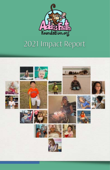

## 2021 Impact Report

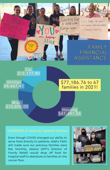

### Car \$12,177.80

**Utilities** \$4,667.41

## \$77,186.76 to 67 families in 2021!

### Misc. \$12,850.00

### Housing  $$47,491.55$

Even though COVID changed our ability to serve food directly to patients, Addi's Faith still made sure our precious families were fed. Monthly, Jessica (AFF's Director of Family Relief) would drop off food for hosptial staff to distribute to families on the cancer floor.

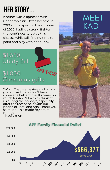## **HER STORY...**

Kadince was diagnosed with Chondroblastic Osteosarcoma in 2019 and relapsed in the summer of 2020. Kadi is a strong fighter that continues to battle this disease while still finding time to paint and play with her puppy.

## $$1,350$ Utility Bill \$1,000 Christmas gifts

"Wow! That is amazing and I'm so grateful as this couldn't have come at a better time! It means so much for Addi's Faith to think of us during the holidays, especially after the recent help with our phone bill not long ago. Thank you so much! This made my entire month." - Kadi's mom

## **MEET** KADI



### **AFF Family Financial Relief** \$100,000 \$75,000 \$50,000 \$566,377 \$25,000 since 2008!\$0 2010 2018 2021 20<sup>09</sup> 209  $v_{\!\mathcal{Q}_\nu}$   $v_{\!\mathcal{Q}_\nu}$   $v_{\!\mathcal{Q}_\nu}$   $v_{\!\mathcal{Q}_\nu}$   $v_{\!\mathcal{Q}_\nu}$   $v_{\!\mathcal{Q}_\nu}$  . 2019 Pop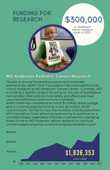## **FUNDING FOR RESEARCH**

# \$300,000

in childhood cancer research given in 2021

### **MD Anderson Pediatric Cancer Research**

Thanks to annual fundraising events and corporate partnerships, Addi's Faith Foundation has continued to fund critical research at MD Anderson Cancer Center. Currently, AFF is funding a specific project focusing on the use of autologous natural killer (NK) cells to more safely and effectively treat recurrent/refractory brain tumors in children. Addi's Faith has completed an initial \$1 million dollar pledge and is currently paying towards a new \$2 million dollar commitment. Similar to how the monthly contributions from AFF's Sunshine Circle allows programming to continue on a consistent basis, regardless of floods or pandemics, pledging these funds to MD Anderson allows research to continue uninterrupted, ensuring constant progress towards a cure!

| \$300,000 |      |      |      |      |      |      |             |      |             |      |      |      |
|-----------|------|------|------|------|------|------|-------------|------|-------------|------|------|------|
| \$200,000 |      |      |      |      |      |      |             |      |             |      |      |      |
| \$100,000 |      |      |      |      |      |      |             |      | \$1,836,353 |      |      |      |
| \$0       |      |      |      |      |      |      | since 2008! |      |             |      |      |      |
|           | 2008 | 2011 | 2012 | 2013 | 2014 | 2015 | 2016        | 2017 | 2018        | 2019 | 2020 | 2021 |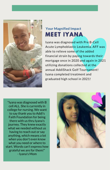

## **Your Magnified Impact MEET IYANA**

Iyana was diagnosed with Pre B-Cell Acute Lymphoblastic Leukemia. AFF was able to relieve some of the added financial strain by paying towards their mortgage once in 2020 and again in 2021 utilizing donations collected at the annual AddiShack Golf Tournament! Iyana completed treatment and graduated high school in 2021!

"Iyana was diagnosed with B cell ALL. She is currently in college for nursing. We want to say thank you to Addi's Faith Foundation for being there with us thru Iyana's journey. They knew exactly what we needed without us having to reach out or say anything, which means a lot when you don't even know what you need or where to start. Words can't express how grateful we are for them!" - Iyana's Mom

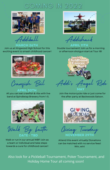## **COMING IN 2022**



Addiball

Join us at Kingwood High School for this exciting event to smash childhood cancer! **MARCH 26TH**



Crawfish Boil

**APRIL 30TH** All you can eat crawfish & ribs with live band at Spindletap Brewery from 1-5.



Walk By Faith **DATE - TBD**

Walk or run in our annual WBF! Join as a team or individual and take steps towards a cure for childhood cancer!



dishac

Double tournament! Join us for a morning or afternoon shotgun start at Tour 18! **APRIL 11TH**



Join the motorcycle ride or just come for the after party at Backwoods Saloon.



Giving Tuesday **NOVEMBER 29TH**

Attend this event virtually! Donations can be matched with no service fees! Win, win!

Also look for a Pickleball Tournament, Poker Tournament, and Holiday Home Tour all coming soon!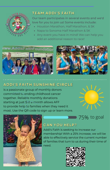

## **TEAM ADDI'S FAITH**

Our team participates in several events and we'd love for you to join us! Some events include:

- Houston Marathon, Half Marathon, & 5K
- Napa to Sonoma Half Marathon & 5K
- Any event you have in mind! We can help you add an additional reason to race!





## **ADDI'S FAITH SUNSHINE CIRCLE**

is a passionate group of monthly donors committed to ending childhood cancer together. Reliable monthly donations starting at just \$10 a month allows AFF to provide help to families when they need it most. Use the QR code to sign up or learn more.



75% to goal



### **CAN YOU HELP?**

Addi's Faith is seeking to increase our membership! With a 25% increase, we will be able to effectively service the current number of families that turn to us during their time of need.